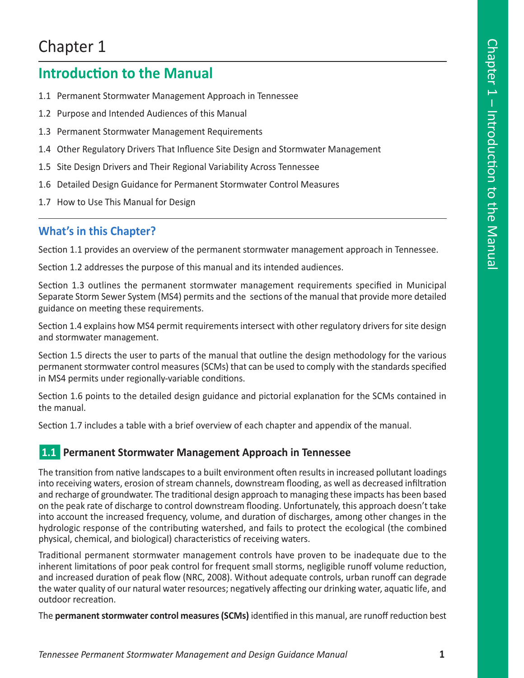# Chapter 1

## **Introduction to the Manual**

- 1.1 Permanent Stormwater Management Approach in Tennessee
- 1.2 Purpose and Intended Audiences of this Manual
- 1.3 Permanent Stormwater Management Requirements
- 1.4 Other Regulatory Drivers That Influence Site Design and Stormwater Management
- 1.5 Site Design Drivers and Their Regional Variability Across Tennessee
- 1.6 Detailed Design Guidance for Permanent Stormwater Control Measures
- 1.7 How to Use This Manual for Design

## **What's in this Chapter?**

Section 1.1 provides an overview of the permanent stormwater management approach in Tennessee.

Section 1.2 addresses the purpose of this manual and its intended audiences.

Section 1.3 outlines the permanent stormwater management requirements specified in Municipal Separate Storm Sewer System (MS4) permits and the sections of the manual that provide more detailed guidance on meeting these requirements.

Section 1.4 explains how MS4 permit requirements intersect with other regulatory drivers for site design and stormwater management.

Section 1.5 directs the user to parts of the manual that outline the design methodology for the various permanent stormwater control measures (SCMs) that can be used to comply with the standards specified in MS4 permits under regionally-variable conditions.

Section 1.6 points to the detailed design guidance and pictorial explanation for the SCMs contained in the manual.

Section 1.7 includes a table with a brief overview of each chapter and appendix of the manual.

#### n**1.1 Permanent Stormwater Management Approach in Tennessee**

The transition from native landscapes to a built environment often results in increased pollutant loadings into receiving waters, erosion of stream channels, downstream flooding, as well as decreased infiltration and recharge of groundwater. The traditional design approach to managing these impacts has been based on the peak rate of discharge to control downstream flooding. Unfortunately, this approach doesn't take into account the increased frequency, volume, and duration of discharges, among other changes in the hydrologic response of the contributing watershed, and fails to protect the ecological (the combined physical, chemical, and biological) characteristics of receiving waters.

Traditional permanent stormwater management controls have proven to be inadequate due to the inherent limitations of poor peak control for frequent small storms, negligible runoff volume reduction, and increased duration of peak flow (NRC, 2008). Without adequate controls, urban runoff can degrade the water quality of our natural water resources; negatively affecting our drinking water, aquatic life, and outdoor recreation.

The **permanent stormwater control measures (SCMs)** identified in this manual, are runoff reduction best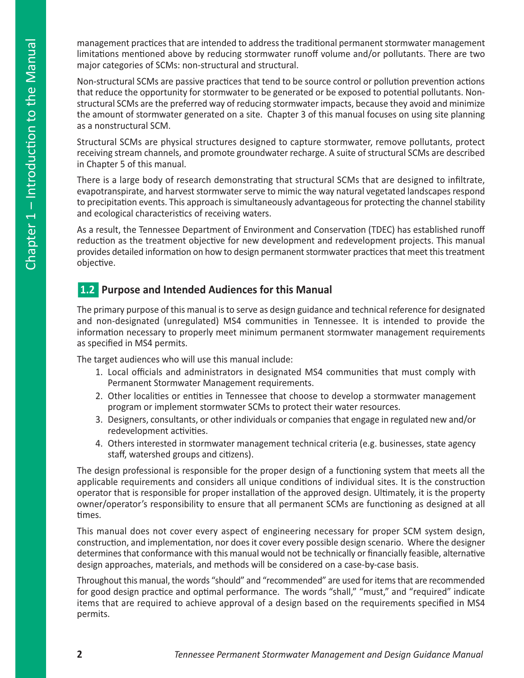management practices that are intended to address the traditional permanent stormwater management limitations mentioned above by reducing stormwater runoff volume and/or pollutants. There are two major categories of SCMs: non-structural and structural.

Non-structural SCMs are passive practices that tend to be source control or pollution prevention actions that reduce the opportunity for stormwater to be generated or be exposed to potential pollutants. Nonstructural SCMs are the preferred way of reducing stormwater impacts, because they avoid and minimize the amount of stormwater generated on a site. Chapter 3 of this manual focuses on using site planning as a nonstructural SCM.

Structural SCMs are physical structures designed to capture stormwater, remove pollutants, protect receiving stream channels, and promote groundwater recharge. A suite of structural SCMs are described in Chapter 5 of this manual.

There is a large body of research demonstrating that structural SCMs that are designed to infiltrate, evapotranspirate, and harvest stormwater serve to mimic the way natural vegetated landscapes respond to precipitation events. This approach is simultaneously advantageous for protecting the channel stability and ecological characteristics of receiving waters.

As a result, the Tennessee Department of Environment and Conservation (TDEC) has established runoff reduction as the treatment objective for new development and redevelopment projects. This manual provides detailed information on how to design permanent stormwater practices that meet this treatment objective.

## **1.2 Purpose and Intended Audiences for this Manual**

The primary purpose of this manual is to serve as design guidance and technical reference for designated and non-designated (unregulated) MS4 communities in Tennessee. It is intended to provide the information necessary to properly meet minimum permanent stormwater management requirements as specified in MS4 permits.

The target audiences who will use this manual include:

- 1. Local officials and administrators in designated MS4 communities that must comply with Permanent Stormwater Management requirements.
- 2. Other localities or entities in Tennessee that choose to develop a stormwater management program or implement stormwater SCMs to protect their water resources.
- 3. Designers, consultants, or other individuals or companies that engage in regulated new and/or redevelopment activities.
- 4. Others interested in stormwater management technical criteria (e.g. businesses, state agency staff, watershed groups and citizens).

The design professional is responsible for the proper design of a functioning system that meets all the applicable requirements and considers all unique conditions of individual sites. It is the construction operator that is responsible for proper installation of the approved design. Ultimately, it is the property owner/operator's responsibility to ensure that all permanent SCMs are functioning as designed at all times.

This manual does not cover every aspect of engineering necessary for proper SCM system design, construction, and implementation, nor does it cover every possible design scenario. Where the designer determines that conformance with this manual would not be technically or financially feasible, alternative design approaches, materials, and methods will be considered on a case-by-case basis.

Throughout this manual, the words "should" and "recommended" are used for items that are recommended for good design practice and optimal performance. The words "shall," "must," and "required" indicate items that are required to achieve approval of a design based on the requirements specified in MS4 permits.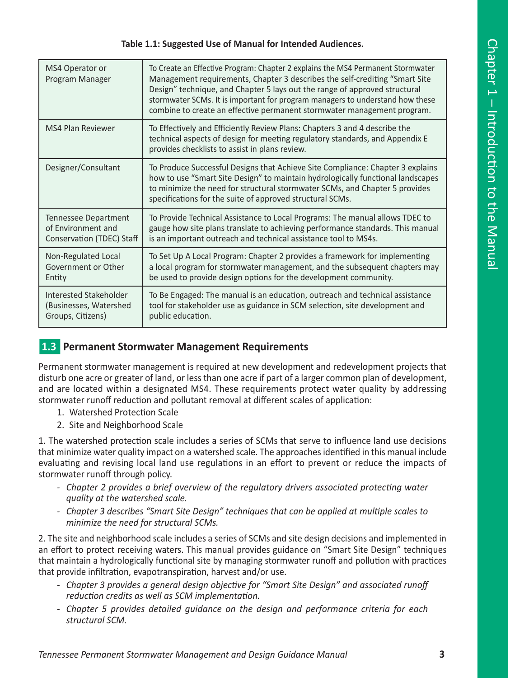#### **Table 1.1: Suggested Use of Manual for Intended Audiences.**

| MS4 Operator or<br>Program Manager | To Create an Effective Program: Chapter 2 explains the MS4 Permanent Stormwater<br>Management requirements, Chapter 3 describes the self-crediting "Smart Site<br>Design" technique, and Chapter 5 lays out the range of approved structural<br>stormwater SCMs. It is important for program managers to understand how these<br>combine to create an effective permanent stormwater management program. |
|------------------------------------|----------------------------------------------------------------------------------------------------------------------------------------------------------------------------------------------------------------------------------------------------------------------------------------------------------------------------------------------------------------------------------------------------------|
| <b>MS4 Plan Reviewer</b>           | To Effectively and Efficiently Review Plans: Chapters 3 and 4 describe the<br>technical aspects of design for meeting regulatory standards, and Appendix E<br>provides checklists to assist in plans review.                                                                                                                                                                                             |
| Designer/Consultant                | To Produce Successful Designs that Achieve Site Compliance: Chapter 3 explains<br>how to use "Smart Site Design" to maintain hydrologically functional landscapes<br>to minimize the need for structural stormwater SCMs, and Chapter 5 provides<br>specifications for the suite of approved structural SCMs.                                                                                            |
| Tennessee Department               | To Provide Technical Assistance to Local Programs: The manual allows TDEC to                                                                                                                                                                                                                                                                                                                             |
| of Environment and                 | gauge how site plans translate to achieving performance standards. This manual                                                                                                                                                                                                                                                                                                                           |
| Conservation (TDEC) Staff          | is an important outreach and technical assistance tool to MS4s.                                                                                                                                                                                                                                                                                                                                          |
| Non-Regulated Local                | To Set Up A Local Program: Chapter 2 provides a framework for implementing                                                                                                                                                                                                                                                                                                                               |
| Government or Other                | a local program for stormwater management, and the subsequent chapters may                                                                                                                                                                                                                                                                                                                               |
| Entity                             | be used to provide design options for the development community.                                                                                                                                                                                                                                                                                                                                         |
| Interested Stakeholder             | To Be Engaged: The manual is an education, outreach and technical assistance                                                                                                                                                                                                                                                                                                                             |
| (Businesses, Watershed             | tool for stakeholder use as guidance in SCM selection, site development and                                                                                                                                                                                                                                                                                                                              |
| Groups, Citizens)                  | public education.                                                                                                                                                                                                                                                                                                                                                                                        |

#### **1.3** Permanent Stormwater Management Requirements

Permanent stormwater management is required at new development and redevelopment projects that disturb one acre or greater of land, or less than one acre if part of a larger common plan of development, and are located within a designated MS4. These requirements protect water quality by addressing stormwater runoff reduction and pollutant removal at different scales of application:

- 1. Watershed Protection Scale
- 2. Site and Neighborhood Scale

1. The watershed protection scale includes a series of SCMs that serve to influence land use decisions that minimize water quality impact on a watershed scale. The approaches identified in this manual include evaluating and revising local land use regulations in an effort to prevent or reduce the impacts of stormwater runoff through policy.

- *Chapter 2 provides a brief overview of the regulatory drivers associated protecting water quality at the watershed scale.*
- *Chapter 3 describes "Smart Site Design" techniques that can be applied at multiple scales to minimize the need for structural SCMs.*

2. The site and neighborhood scale includes a series of SCMs and site design decisions and implemented in an effort to protect receiving waters. This manual provides guidance on "Smart Site Design" techniques that maintain a hydrologically functional site by managing stormwater runoff and pollution with practices that provide infiltration, evapotranspiration, harvest and/or use.

- *Chapter 3 provides a general design objective for "Smart Site Design" and associated runoff reduction credits as well as SCM implementation.*
- *Chapter 5 provides detailed guidance on the design and performance criteria for each structural SCM.*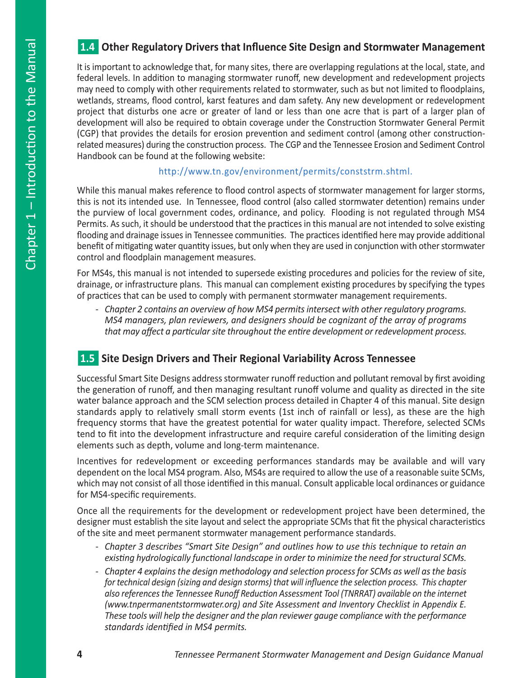## n**1.4 Other Regulatory Drivers that Influence Site Design and Stormwater Management**

It is important to acknowledge that, for many sites, there are overlapping regulations at the local, state, and federal levels. In addition to managing stormwater runoff, new development and redevelopment projects may need to comply with other requirements related to stormwater, such as but not limited to floodplains, wetlands, streams, flood control, karst features and dam safety. Any new development or redevelopment project that disturbs one acre or greater of land or less than one acre that is part of a larger plan of development will also be required to obtain coverage under the Construction Stormwater General Permit (CGP) that provides the details for erosion prevention and sediment control (among other constructionrelated measures) during the construction process. The CGP and the Tennessee Erosion and Sediment Control Handbook can be found at the following website:

#### http://www.tn.gov/environment/permits/conststrm.shtml.

While this manual makes reference to flood control aspects of stormwater management for larger storms, this is not its intended use. In Tennessee, flood control (also called stormwater detention) remains under the purview of local government codes, ordinance, and policy. Flooding is not regulated through MS4 Permits. As such, it should be understood that the practices in this manual are not intended to solve existing flooding and drainage issues in Tennessee communities. The practices identified here may provide additional benefit of mitigating water quantity issues, but only when they are used in conjunction with other stormwater control and floodplain management measures.

For MS4s, this manual is not intended to supersede existing procedures and policies for the review of site, drainage, or infrastructure plans. This manual can complement existing procedures by specifying the types of practices that can be used to comply with permanent stormwater management requirements.

*- Chapter 2 contains an overview of how MS4 permits intersect with other regulatory programs. MS4 managers, plan reviewers, and designers should be cognizant of the array of programs that may affect a particular site throughout the entire development or redevelopment process.* 

## n**1.5 Site Design Drivers and Their Regional Variability Across Tennessee**

Successful Smart Site Designs address stormwater runoff reduction and pollutant removal by first avoiding the generation of runoff, and then managing resultant runoff volume and quality as directed in the site water balance approach and the SCM selection process detailed in Chapter 4 of this manual. Site design standards apply to relatively small storm events (1st inch of rainfall or less), as these are the high frequency storms that have the greatest potential for water quality impact. Therefore, selected SCMs tend to fit into the development infrastructure and require careful consideration of the limiting design elements such as depth, volume and long-term maintenance.

Incentives for redevelopment or exceeding performances standards may be available and will vary dependent on the local MS4 program. Also, MS4s are required to allow the use of a reasonable suite SCMs, which may not consist of all those identified in this manual. Consult applicable local ordinances or guidance for MS4-specific requirements.

Once all the requirements for the development or redevelopment project have been determined, the designer must establish the site layout and select the appropriate SCMs that fit the physical characteristics of the site and meet permanent stormwater management performance standards.

- *Chapter 3 describes "Smart Site Design" and outlines how to use this technique to retain an existing hydrologically functional landscape in order to minimize the need for structural SCMs.*
- *Chapter 4 explains the design methodology and selection process for SCMs as well as the basis for technical design (sizing and design storms) that will influence the selection process. This chapter also references the Tennessee Runoff Reduction Assessment Tool (TNRRAT) available on the internet (www.tnpermanentstormwater.org) and Site Assessment and Inventory Checklist in Appendix E. These tools will help the designer and the plan reviewer gauge compliance with the performance standards identified in MS4 permits.*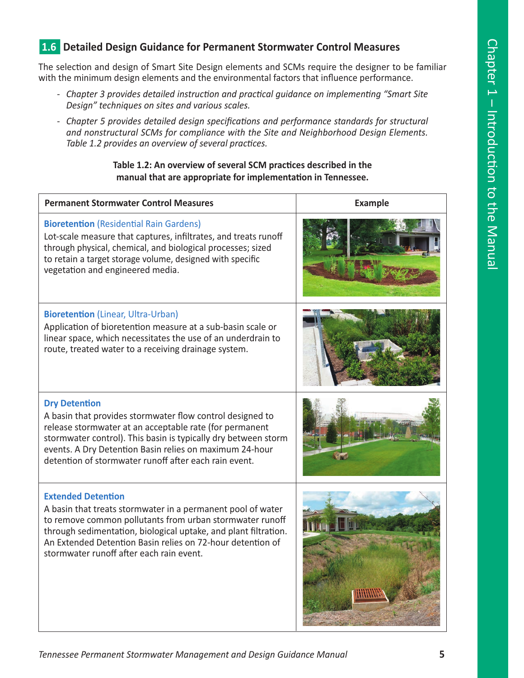## **1.6 Detailed Design Guidance for Permanent Stormwater Control Measures**

The selection and design of Smart Site Design elements and SCMs require the designer to be familiar with the minimum design elements and the environmental factors that influence performance.

- *Chapter 3 provides detailed instruction and practical guidance on implementing "Smart Site Design" techniques on sites and various scales.*
- *Chapter 5 provides detailed design specifications and performance standards for structural and nonstructural SCMs for compliance with the Site and Neighborhood Design Elements. Table 1.2 provides an overview of several practices.*

#### **Table 1.2: An overview of several SCM practices described in the manual that are appropriate for implementation in Tennessee.**

| <b>Permanent Stormwater Control Measures</b>                                                                                                                                                                                                                                                                                       | <b>Example</b> |
|------------------------------------------------------------------------------------------------------------------------------------------------------------------------------------------------------------------------------------------------------------------------------------------------------------------------------------|----------------|
| <b>Bioretention</b> (Residential Rain Gardens)<br>Lot-scale measure that captures, infiltrates, and treats runoff<br>through physical, chemical, and biological processes; sized<br>to retain a target storage volume, designed with specific<br>vegetation and engineered media.                                                  |                |
| <b>Bioretention</b> (Linear, Ultra-Urban)<br>Application of bioretention measure at a sub-basin scale or<br>linear space, which necessitates the use of an underdrain to<br>route, treated water to a receiving drainage system.                                                                                                   |                |
| <b>Dry Detention</b><br>A basin that provides stormwater flow control designed to<br>release stormwater at an acceptable rate (for permanent<br>stormwater control). This basin is typically dry between storm<br>events. A Dry Detention Basin relies on maximum 24-hour<br>detention of stormwater runoff after each rain event. |                |
| <b>Extended Detention</b><br>A basin that treats stormwater in a permanent pool of water<br>to remove common pollutants from urban stormwater runoff<br>through sedimentation, biological uptake, and plant filtration.<br>An Extended Detention Basin relies on 72-hour detention of<br>stormwater runoff after each rain event.  |                |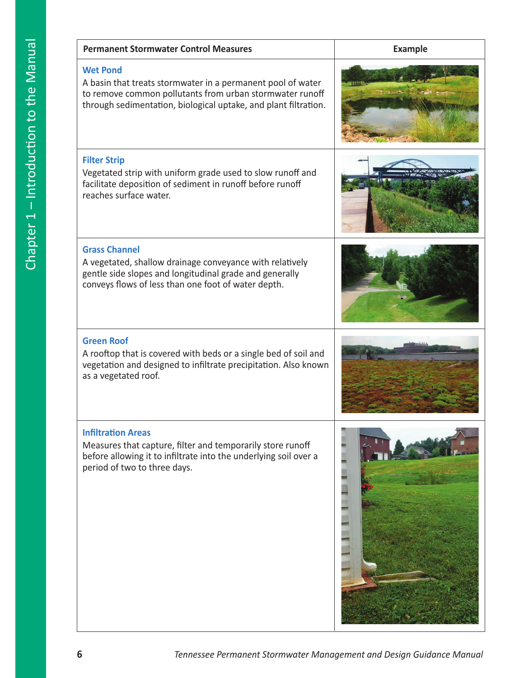| <b>Permanent Stormwater Control Measures</b>                                                                                                                                                                  | <b>Example</b> |
|---------------------------------------------------------------------------------------------------------------------------------------------------------------------------------------------------------------|----------------|
| <b>Wet Pond</b><br>A basin that treats stormwater in a permanent pool of water<br>to remove common pollutants from urban stormwater runoff<br>through sedimentation, biological uptake, and plant filtration. |                |
| <b>Filter Strip</b><br>Vegetated strip with uniform grade used to slow runoff and<br>facilitate deposition of sediment in runoff before runoff<br>reaches surface water.                                      |                |
| <b>Grass Channel</b><br>A vegetated, shallow drainage conveyance with relatively<br>gentle side slopes and longitudinal grade and generally<br>conveys flows of less than one foot of water depth.            |                |
| <b>Green Roof</b><br>A rooftop that is covered with beds or a single bed of soil and<br>vegetation and designed to infiltrate precipitation. Also known<br>as a vegetated roof.                               |                |
| <b>Infiltration Areas</b><br>Measures that capture, filter and temporarily store runoff<br>before allowing it to infiltrate into the underlying soil over a<br>period of two to three days.                   |                |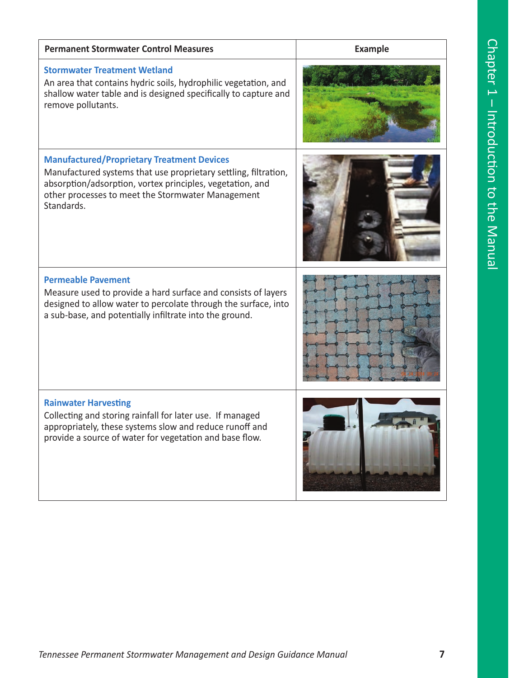| <b>Permanent Stormwater Control Measures</b>                                                                                                                                                                                                         | <b>Example</b> |
|------------------------------------------------------------------------------------------------------------------------------------------------------------------------------------------------------------------------------------------------------|----------------|
| <b>Stormwater Treatment Wetland</b><br>An area that contains hydric soils, hydrophilic vegetation, and<br>shallow water table and is designed specifically to capture and<br>remove pollutants.                                                      |                |
| <b>Manufactured/Proprietary Treatment Devices</b><br>Manufactured systems that use proprietary settling, filtration,<br>absorption/adsorption, vortex principles, vegetation, and<br>other processes to meet the Stormwater Management<br>Standards. |                |
| <b>Permeable Pavement</b><br>Measure used to provide a hard surface and consists of layers<br>designed to allow water to percolate through the surface, into<br>a sub-base, and potentially infiltrate into the ground.                              |                |
| <b>Rainwater Harvesting</b><br>Collecting and storing rainfall for later use. If managed<br>appropriately, these systems slow and reduce runoff and<br>provide a source of water for vegetation and base flow.                                       |                |